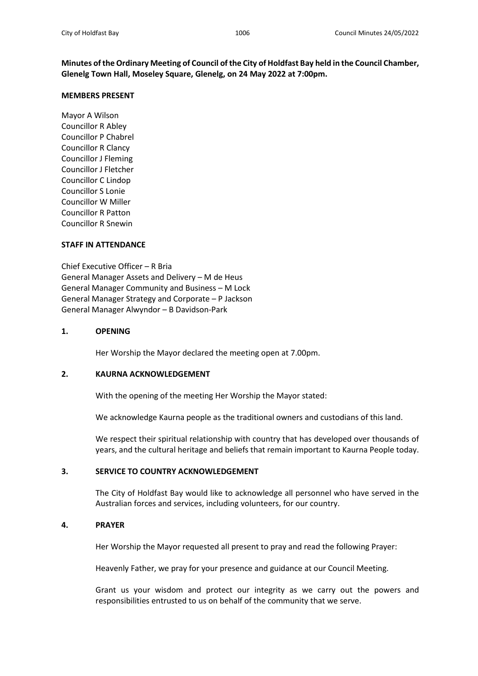**Minutes of the Ordinary Meeting of Council of the City of Holdfast Bay held in the Council Chamber, Glenelg Town Hall, Moseley Square, Glenelg, on 24 May 2022 at 7:00pm.**

### **MEMBERS PRESENT**

Mayor A Wilson Councillor R Abley Councillor P Chabrel Councillor R Clancy Councillor J Fleming Councillor J Fletcher Councillor C Lindop Councillor S Lonie Councillor W Miller Councillor R Patton Councillor R Snewin

### **STAFF IN ATTENDANCE**

Chief Executive Officer – R Bria General Manager Assets and Delivery – M de Heus General Manager Community and Business – M Lock General Manager Strategy and Corporate – P Jackson General Manager Alwyndor – B Davidson-Park

### **1. OPENING**

Her Worship the Mayor declared the meeting open at 7.00pm.

## **2. KAURNA ACKNOWLEDGEMENT**

With the opening of the meeting Her Worship the Mayor stated:

We acknowledge Kaurna people as the traditional owners and custodians of this land.

We respect their spiritual relationship with country that has developed over thousands of years, and the cultural heritage and beliefs that remain important to Kaurna People today.

# **3. SERVICE TO COUNTRY ACKNOWLEDGEMENT**

The City of Holdfast Bay would like to acknowledge all personnel who have served in the Australian forces and services, including volunteers, for our country.

### **4. PRAYER**

Her Worship the Mayor requested all present to pray and read the following Prayer:

Heavenly Father, we pray for your presence and guidance at our Council Meeting.

Grant us your wisdom and protect our integrity as we carry out the powers and responsibilities entrusted to us on behalf of the community that we serve.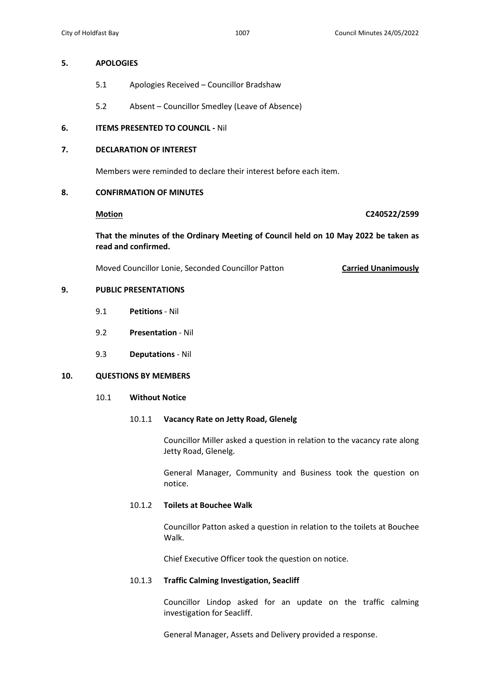## **5. APOLOGIES**

- 5.1 Apologies Received Councillor Bradshaw
- 5.2 Absent Councillor Smedley (Leave of Absence)

# **6. ITEMS PRESENTED TO COUNCIL -** Nil

# **7. DECLARATION OF INTEREST**

Members were reminded to declare their interest before each item.

## **8. CONFIRMATION OF MINUTES**

**Motion C240522/2599**

 **That the minutes of the Ordinary Meeting of Council held on 10 May 2022 be taken as read and confirmed.** 

Moved Councillor Lonie, Seconded Councillor Patton **Carried Unanimously**

# **9. PUBLIC PRESENTATIONS**

- 9.1 **Petitions** Nil
- 9.2 **Presentation** Nil
- 9.3 **Deputations** Nil

## **10. QUESTIONS BY MEMBERS**

## 10.1 **Without Notice**

## 10.1.1 **Vacancy Rate on Jetty Road, Glenelg**

Councillor Miller asked a question in relation to the vacancy rate along Jetty Road, Glenelg.

General Manager, Community and Business took the question on notice.

# 10.1.2 **Toilets at Bouchee Walk**

Councillor Patton asked a question in relation to the toilets at Bouchee Walk.

Chief Executive Officer took the question on notice.

# 10.1.3 **Traffic Calming Investigation, Seacliff**

Councillor Lindop asked for an update on the traffic calming investigation for Seacliff.

General Manager, Assets and Delivery provided a response.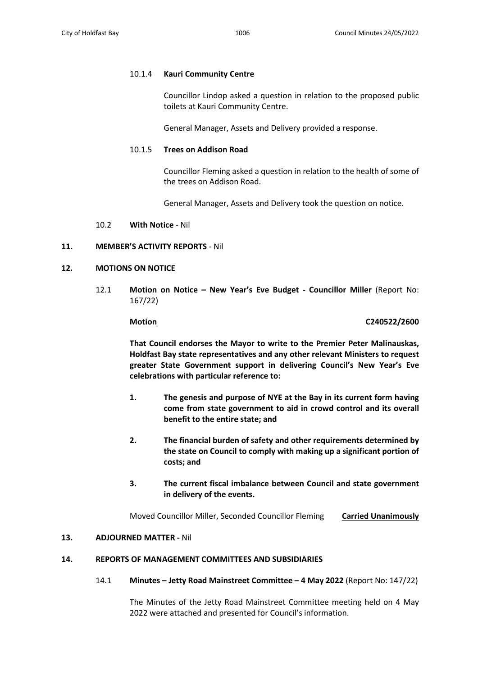## 10.1.4 **Kauri Community Centre**

Councillor Lindop asked a question in relation to the proposed public toilets at Kauri Community Centre.

General Manager, Assets and Delivery provided a response.

### 10.1.5 **Trees on Addison Road**

Councillor Fleming asked a question in relation to the health of some of the trees on Addison Road.

General Manager, Assets and Delivery took the question on notice.

10.2 **With Notice** - Nil

### **11. MEMBER'S ACTIVITY REPORTS** - Nil

### **12. MOTIONS ON NOTICE**

12.1 **Motion on Notice – New Year's Eve Budget - Councillor Miller** (Report No: 167/22)

### **Motion C240522/2600**

 **That Council endorses the Mayor to write to the Premier Peter Malinauskas, Holdfast Bay state representatives and any other relevant Ministers to request greater State Government support in delivering Council's New Year's Eve celebrations with particular reference to:** 

- **1. The genesis and purpose of NYE at the Bay in its current form having come from state government to aid in crowd control and its overall benefit to the entire state; and**
- **2. The financial burden of safety and other requirements determined by the state on Council to comply with making up a significant portion of costs; and**
- **3. The current fiscal imbalance between Council and state government in delivery of the events.**

Moved Councillor Miller, Seconded Councillor Fleming **Carried Unanimously**

## **13. ADJOURNED MATTER -** Nil

# **14. REPORTS OF MANAGEMENT COMMITTEES AND SUBSIDIARIES**

### 14.1 **Minutes – Jetty Road Mainstreet Committee – 4 May 2022** (Report No: 147/22)

The Minutes of the Jetty Road Mainstreet Committee meeting held on 4 May 2022 were attached and presented for Council's information.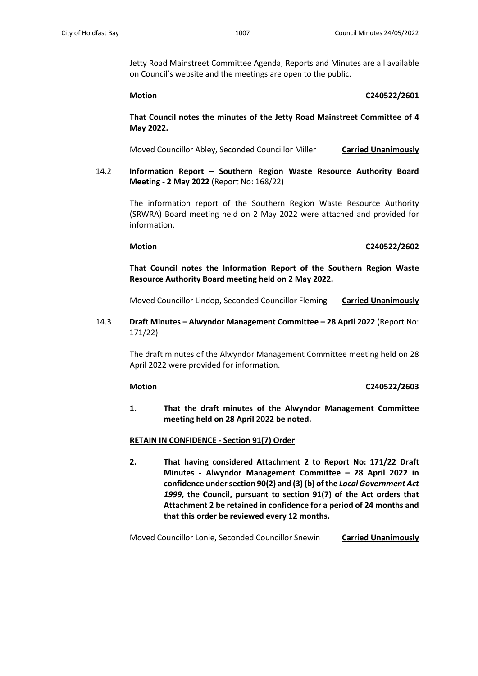Jetty Road Mainstreet Committee Agenda, Reports and Minutes are all available on Council's website and the meetings are open to the public.

**Motion C240522/2601**

**That Council notes the minutes of the Jetty Road Mainstreet Committee of 4 May 2022.**

Moved Councillor Abley, Seconded Councillor Miller **Carried Unanimously**

 14.2 **Information Report – Southern Region Waste Resource Authority Board Meeting - 2 May 2022** (Report No: 168/22)

> The information report of the Southern Region Waste Resource Authority (SRWRA) Board meeting held on 2 May 2022 were attached and provided for information.

### **Motion C240522/2602**

**That Council notes the Information Report of the Southern Region Waste Resource Authority Board meeting held on 2 May 2022.**

Moved Councillor Lindop, Seconded Councillor Fleming **Carried Unanimously**

 14.3 **Draft Minutes – Alwyndor Management Committee – 28 April 2022** (Report No: 171/22)

> The draft minutes of the Alwyndor Management Committee meeting held on 28 April 2022 were provided for information.

### **Motion C240522/2603**

**1. That the draft minutes of the Alwyndor Management Committee meeting held on 28 April 2022 be noted.**

### **RETAIN IN CONFIDENCE - Section 91(7) Order**

**2. That having considered Attachment 2 to Report No: 171/22 Draft Minutes - Alwyndor Management Committee – 28 April 2022 in confidence under section 90(2) and (3) (b) of the** *Local Government Act 1999***, the Council, pursuant to section 91(7) of the Act orders that Attachment 2 be retained in confidence for a period of 24 months and that this order be reviewed every 12 months.**

Moved Councillor Lonie, Seconded Councillor Snewin **Carried Unanimously**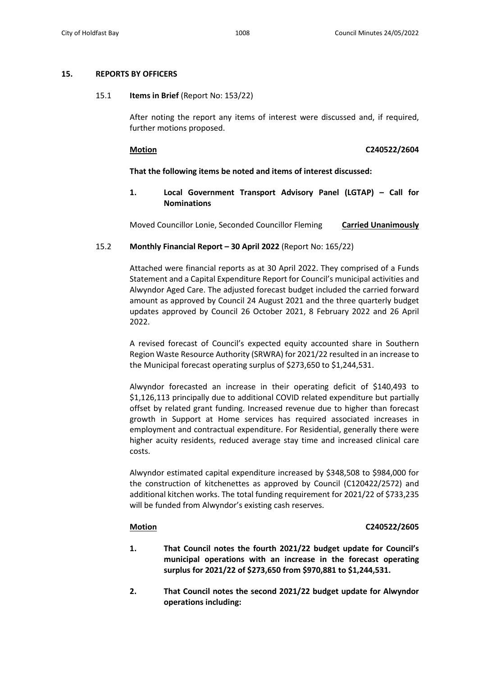## **15. REPORTS BY OFFICERS**

## 15.1 **Items in Brief** (Report No: 153/22)

After noting the report any items of interest were discussed and, if required, further motions proposed.

**Motion C240522/2604**

# **That the following items be noted and items of interest discussed:**

# **1. Local Government Transport Advisory Panel (LGTAP) – Call for Nominations**

Moved Councillor Lonie, Seconded Councillor Fleming **Carried Unanimously**

## 15.2 **Monthly Financial Report – 30 April 2022** (Report No: 165/22)

Attached were financial reports as at 30 April 2022. They comprised of a Funds Statement and a Capital Expenditure Report for Council's municipal activities and Alwyndor Aged Care. The adjusted forecast budget included the carried forward amount as approved by Council 24 August 2021 and the three quarterly budget updates approved by Council 26 October 2021, 8 February 2022 and 26 April 2022.

A revised forecast of Council's expected equity accounted share in Southern Region Waste Resource Authority (SRWRA) for 2021/22 resulted in an increase to the Municipal forecast operating surplus of \$273,650 to \$1,244,531.

Alwyndor forecasted an increase in their operating deficit of \$140,493 to \$1,126,113 principally due to additional COVID related expenditure but partially offset by related grant funding. Increased revenue due to higher than forecast growth in Support at Home services has required associated increases in employment and contractual expenditure. For Residential, generally there were higher acuity residents, reduced average stay time and increased clinical care costs.

Alwyndor estimated capital expenditure increased by \$348,508 to \$984,000 for the construction of kitchenettes as approved by Council (C120422/2572) and additional kitchen works. The total funding requirement for 2021/22 of \$733,235 will be funded from Alwyndor's existing cash reserves.

## **Motion C240522/2605**

- **1. That Council notes the fourth 2021/22 budget update for Council's municipal operations with an increase in the forecast operating surplus for 2021/22 of \$273,650 from \$970,881 to \$1,244,531.**
- **2. That Council notes the second 2021/22 budget update for Alwyndor operations including:**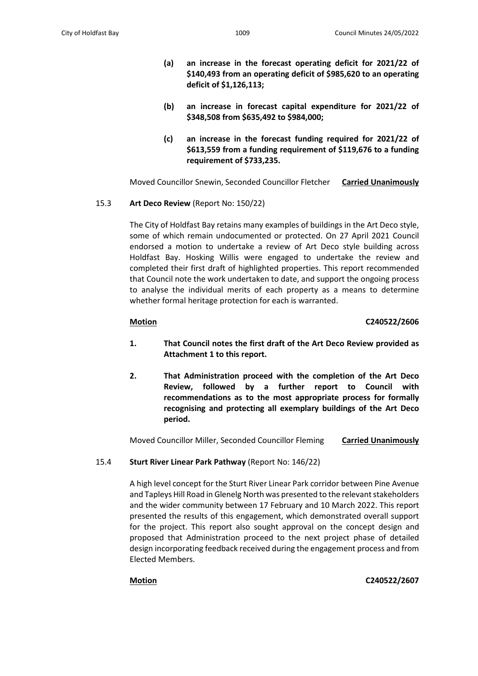- **(a) an increase in the forecast operating deficit for 2021/22 of \$140,493 from an operating deficit of \$985,620 to an operating deficit of \$1,126,113;**
- **(b) an increase in forecast capital expenditure for 2021/22 of \$348,508 from \$635,492 to \$984,000;**
- **(c) an increase in the forecast funding required for 2021/22 of \$613,559 from a funding requirement of \$119,676 to a funding requirement of \$733,235.**

Moved Councillor Snewin, Seconded Councillor Fletcher **Carried Unanimously**

## 15.3 **Art Deco Review** (Report No: 150/22)

The City of Holdfast Bay retains many examples of buildings in the Art Deco style, some of which remain undocumented or protected. On 27 April 2021 Council endorsed a motion to undertake a review of Art Deco style building across Holdfast Bay. Hosking Willis were engaged to undertake the review and completed their first draft of highlighted properties. This report recommended that Council note the work undertaken to date, and support the ongoing process to analyse the individual merits of each property as a means to determine whether formal heritage protection for each is warranted.

## **Motion C240522/2606**

- **1. That Council notes the first draft of the Art Deco Review provided as Attachment 1 to this report.**
- **2. That Administration proceed with the completion of the Art Deco Review, followed by a further report to Council with recommendations as to the most appropriate process for formally recognising and protecting all exemplary buildings of the Art Deco period.**

Moved Councillor Miller, Seconded Councillor Fleming **Carried Unanimously**

# 15.4 **Sturt River Linear Park Pathway** (Report No: 146/22)

A high level concept for the Sturt River Linear Park corridor between Pine Avenue and Tapleys Hill Road in Glenelg North was presented to the relevant stakeholders and the wider community between 17 February and 10 March 2022. This report presented the results of this engagement, which demonstrated overall support for the project. This report also sought approval on the concept design and proposed that Administration proceed to the next project phase of detailed design incorporating feedback received during the engagement process and from Elected Members.

**Motion C240522/2607**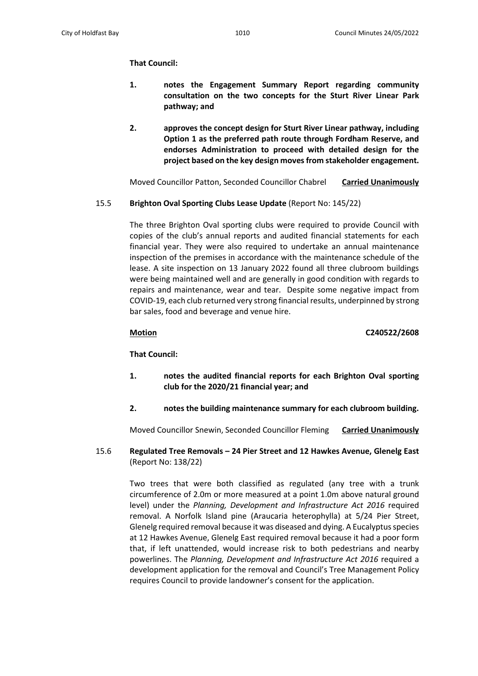# **That Council:**

- **1. notes the Engagement Summary Report regarding community consultation on the two concepts for the Sturt River Linear Park pathway; and**
- **2. approves the concept design for Sturt River Linear pathway, including Option 1 as the preferred path route through Fordham Reserve, and endorses Administration to proceed with detailed design for the project based on the key design moves from stakeholder engagement.**

Moved Councillor Patton, Seconded Councillor Chabrel **Carried Unanimously**

## 15.5 **Brighton Oval Sporting Clubs Lease Update** (Report No: 145/22)

The three Brighton Oval sporting clubs were required to provide Council with copies of the club's annual reports and audited financial statements for each financial year. They were also required to undertake an annual maintenance inspection of the premises in accordance with the maintenance schedule of the lease. A site inspection on 13 January 2022 found all three clubroom buildings were being maintained well and are generally in good condition with regards to repairs and maintenance, wear and tear. Despite some negative impact from COVID-19, each club returned very strong financial results, underpinned by strong bar sales, food and beverage and venue hire.

**Motion C240522/2608**

 **That Council:**

- **1. notes the audited financial reports for each Brighton Oval sporting club for the 2020/21 financial year; and**
- **2. notes the building maintenance summary for each clubroom building.**

Moved Councillor Snewin, Seconded Councillor Fleming **Carried Unanimously**

15.6 **Regulated Tree Removals – 24 Pier Street and 12 Hawkes Avenue, Glenelg East**  (Report No: 138/22)

Two trees that were both classified as regulated (any tree with a trunk circumference of 2.0m or more measured at a point 1.0m above natural ground level) under the *Planning, Development and Infrastructure Act 2016* required removal. A Norfolk Island pine (Araucaria heterophylla) at 5/24 Pier Street, Glenelg required removal because it was diseased and dying. A Eucalyptus species at 12 Hawkes Avenue, Glenelg East required removal because it had a poor form that, if left unattended, would increase risk to both pedestrians and nearby powerlines. The *Planning, Development and Infrastructure Act 2016* required a development application for the removal and Council's Tree Management Policy requires Council to provide landowner's consent for the application.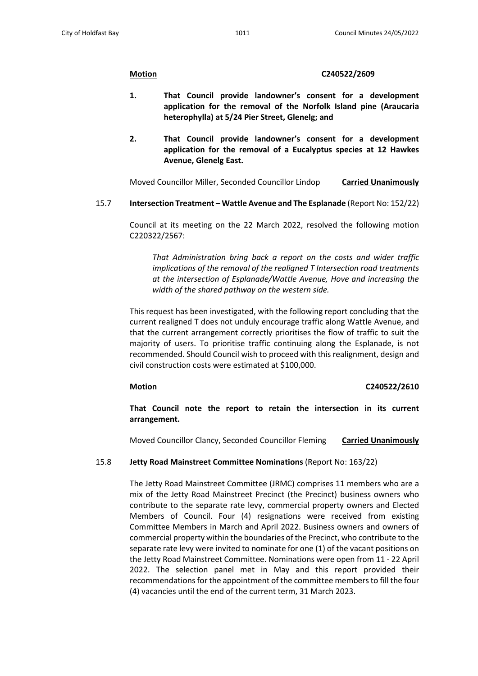### **Motion C240522/2609**

- **1. That Council provide landowner's consent for a development application for the removal of the Norfolk Island pine (Araucaria heterophylla) at 5/24 Pier Street, Glenelg; and**
- **2. That Council provide landowner's consent for a development application for the removal of a Eucalyptus species at 12 Hawkes Avenue, Glenelg East.**

Moved Councillor Miller, Seconded Councillor Lindop **Carried Unanimously**

15.7 **Intersection Treatment – Wattle Avenue and The Esplanade** (Report No: 152/22)

Council at its meeting on the 22 March 2022, resolved the following motion C220322/2567:

*That Administration bring back a report on the costs and wider traffic implications of the removal of the realigned T Intersection road treatments at the intersection of Esplanade/Wattle Avenue, Hove and increasing the width of the shared pathway on the western side.*

This request has been investigated, with the following report concluding that the current realigned T does not unduly encourage traffic along Wattle Avenue, and that the current arrangement correctly prioritises the flow of traffic to suit the majority of users. To prioritise traffic continuing along the Esplanade, is not recommended. Should Council wish to proceed with this realignment, design and civil construction costs were estimated at \$100,000.

## **Motion C240522/2610**

**That Council note the report to retain the intersection in its current arrangement.**

Moved Councillor Clancy, Seconded Councillor Fleming **Carried Unanimously**

## 15.8 **Jetty Road Mainstreet Committee Nominations** (Report No: 163/22)

The Jetty Road Mainstreet Committee (JRMC) comprises 11 members who are a mix of the Jetty Road Mainstreet Precinct (the Precinct) business owners who contribute to the separate rate levy, commercial property owners and Elected Members of Council. Four (4) resignations were received from existing Committee Members in March and April 2022. Business owners and owners of commercial property within the boundaries of the Precinct, who contribute to the separate rate levy were invited to nominate for one (1) of the vacant positions on the Jetty Road Mainstreet Committee. Nominations were open from 11 - 22 April 2022. The selection panel met in May and this report provided their recommendations for the appointment of the committee members to fill the four (4) vacancies until the end of the current term, 31 March 2023.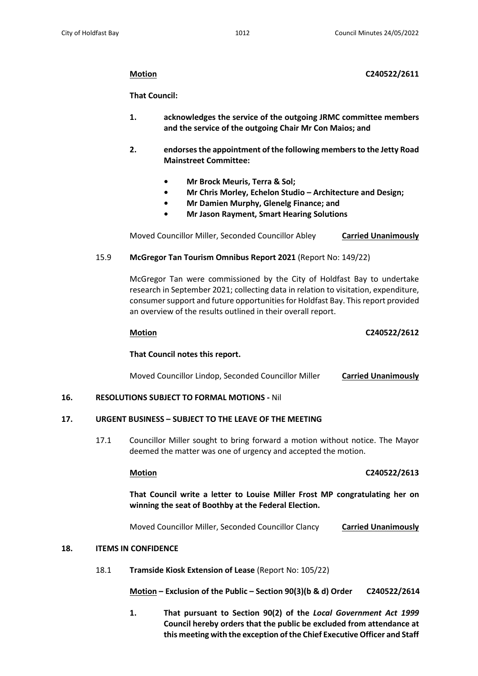## **Motion C240522/2611**

 **That Council:**

- **1. acknowledges the service of the outgoing JRMC committee members and the service of the outgoing Chair Mr Con Maios; and**
- **2. endorses the appointment of the following members to the Jetty Road Mainstreet Committee:** 
	- **Mr Brock Meuris, Terra & Sol;**
	- **Mr Chris Morley, Echelon Studio Architecture and Design;**
	- **Mr Damien Murphy, Glenelg Finance; and**
	- **Mr Jason Rayment, Smart Hearing Solutions**

Moved Councillor Miller, Seconded Councillor Abley **Carried Unanimously**

# 15.9 **McGregor Tan Tourism Omnibus Report 2021** (Report No: 149/22)

McGregor Tan were commissioned by the City of Holdfast Bay to undertake research in September 2021; collecting data in relation to visitation, expenditure, consumer support and future opportunities for Holdfast Bay. This report provided an overview of the results outlined in their overall report.

## **Motion C240522/2612**

# **That Council notes this report.**

Moved Councillor Lindop, Seconded Councillor Miller **Carried Unanimously**

## **16. RESOLUTIONS SUBJECT TO FORMAL MOTIONS -** Nil

## **17. URGENT BUSINESS – SUBJECT TO THE LEAVE OF THE MEETING**

17.1 Councillor Miller sought to bring forward a motion without notice. The Mayor deemed the matter was one of urgency and accepted the motion.

# **Motion C240522/2613**

**That Council write a letter to Louise Miller Frost MP congratulating her on winning the seat of Boothby at the Federal Election.**

Moved Councillor Miller, Seconded Councillor Clancy **Carried Unanimously**

## **18. ITEMS IN CONFIDENCE**

18.1 **Tramside Kiosk Extension of Lease** (Report No: 105/22)

 **Motion – Exclusion of the Public – Section 90(3)(b & d) Order C240522/2614**

**1. That pursuant to Section 90(2) of the** *Local Government Act 1999* **Council hereby orders that the public be excluded from attendance at this meeting with the exception of the Chief Executive Officer and Staff**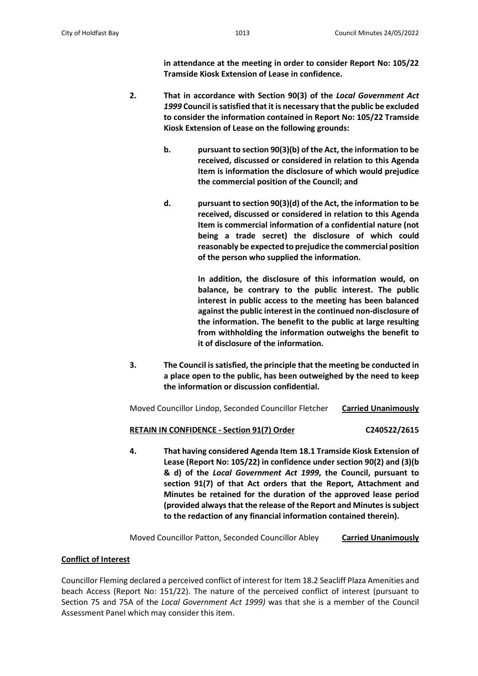**in attendance at the meeting in order to consider Report No: 105/22 Tramside Kiosk Extension of Lease in confidence.**

- **2. That in accordance with Section 90(3) of the** *Local Government Act 1999* **Council is satisfied that it is necessary that the public be excluded to consider the information contained in Report No: 105/22 Tramside Kiosk Extension of Lease on the following grounds:**
	- **b. pursuant to section 90(3)(b) of the Act, the information to be received, discussed or considered in relation to this Agenda Item is information the disclosure of which would prejudice the commercial position of the Council; and**
	- **d. pursuant to section 90(3)(d) of the Act, the information to be received, discussed or considered in relation to this Agenda Item is commercial information of a confidential nature (not being a trade secret) the disclosure of which could reasonably be expected to prejudice the commercial position of the person who supplied the information.**

**In addition, the disclosure of this information would, on balance, be contrary to the public interest. The public interest in public access to the meeting has been balanced against the public interest in the continued non-disclosure of the information. The benefit to the public at large resulting from withholding the information outweighs the benefit to it of disclosure of the information.** 

**3. The Council is satisfied, the principle that the meeting be conducted in a place open to the public, has been outweighed by the need to keep the information or discussion confidential.**

Moved Councillor Lindop, Seconded Councillor Fletcher **Carried Unanimously**

## **RETAIN IN CONFIDENCE - Section 91(7) Order C240522/2615**

**4. That having considered Agenda Item 18.1 Tramside Kiosk Extension of Lease (Report No: 105/22) in confidence under section 90(2) and (3)(b & d) of the** *Local Government Act 1999***, the Council, pursuant to section 91(7) of that Act orders that the Report, Attachment and Minutes be retained for the duration of the approved lease period (provided always that the release of the Report and Minutes is subject to the redaction of any financial information contained therein).**

Moved Councillor Patton, Seconded Councillor Abley **Carried Unanimously**

# **Conflict of Interest**

Councillor Fleming declared a perceived conflict of interest for Item 18.2 Seacliff Plaza Amenities and beach Access (Report No: 151/22). The nature of the perceived conflict of interest (pursuant to Section 75 and 75A of the *Local Government Act 1999)* was that she is a member of the Council Assessment Panel which may consider this item.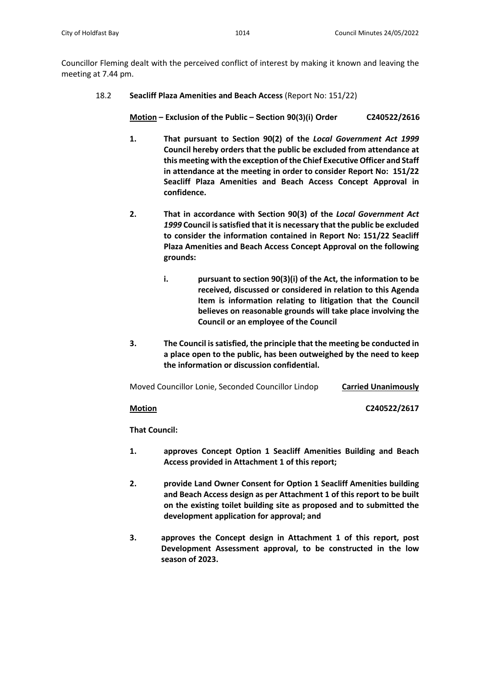Councillor Fleming dealt with the perceived conflict of interest by making it known and leaving the meeting at 7.44 pm.

## 18.2 **Seacliff Plaza Amenities and Beach Access** (Report No: 151/22)

 **Motion – Exclusion of the Public – Section 90(3)(i) Order C240522/2616**

- **1. That pursuant to Section 90(2) of the** *Local Government Act 1999* **Council hereby orders that the public be excluded from attendance at this meeting with the exception of the Chief Executive Officer and Staff in attendance at the meeting in order to consider Report No: 151/22 Seacliff Plaza Amenities and Beach Access Concept Approval in confidence.**
- **2. That in accordance with Section 90(3) of the** *Local Government Act 1999* **Council is satisfied that it is necessary that the public be excluded to consider the information contained in Report No: 151/22 Seacliff Plaza Amenities and Beach Access Concept Approval on the following grounds:**
	- **i. pursuant to section 90(3)(i) of the Act, the information to be received, discussed or considered in relation to this Agenda Item is information relating to litigation that the Council believes on reasonable grounds will take place involving the Council or an employee of the Council**
- **3. The Council is satisfied, the principle that the meeting be conducted in a place open to the public, has been outweighed by the need to keep the information or discussion confidential.**

Moved Councillor Lonie, Seconded Councillor Lindop **Carried Unanimously**

**Motion C240522/2617**

 **That Council:** 

- **1. approves Concept Option 1 Seacliff Amenities Building and Beach Access provided in Attachment 1 of this report;**
- **2. provide Land Owner Consent for Option 1 Seacliff Amenities building and Beach Access design as per Attachment 1 of this report to be built on the existing toilet building site as proposed and to submitted the development application for approval; and**
- **3. approves the Concept design in Attachment 1 of this report, post Development Assessment approval, to be constructed in the low season of 2023.**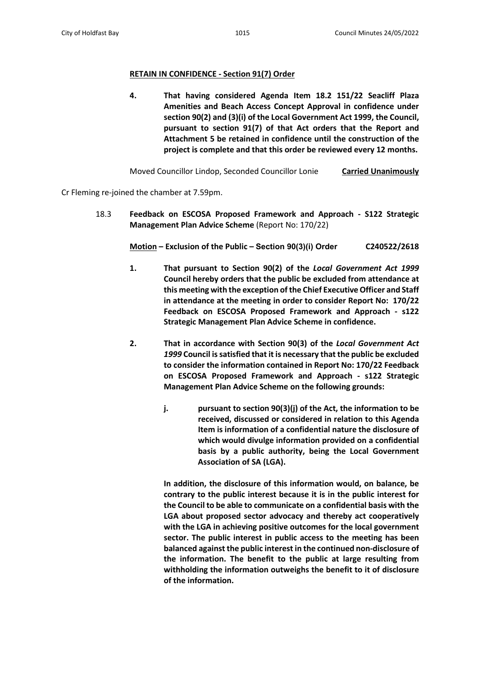## **RETAIN IN CONFIDENCE - Section 91(7) Order**

**4. That having considered Agenda Item 18.2 151/22 Seacliff Plaza Amenities and Beach Access Concept Approval in confidence under section 90(2) and (3)(i) of the Local Government Act 1999, the Council, pursuant to section 91(7) of that Act orders that the Report and Attachment 5 be retained in confidence until the construction of the project is complete and that this order be reviewed every 12 months.**

Moved Councillor Lindop, Seconded Councillor Lonie **Carried Unanimously**

Cr Fleming re-joined the chamber at 7.59pm.

18.3 **Feedback on ESCOSA Proposed Framework and Approach - S122 Strategic Management Plan Advice Scheme** (Report No: 170/22)

 **Motion – Exclusion of the Public – Section 90(3)(i) Order C240522/2618**

- **1. That pursuant to Section 90(2) of the** *Local Government Act 1999* **Council hereby orders that the public be excluded from attendance at this meeting with the exception of the Chief Executive Officer and Staff in attendance at the meeting in order to consider Report No: 170/22 Feedback on ESCOSA Proposed Framework and Approach - s122 Strategic Management Plan Advice Scheme in confidence.**
- **2. That in accordance with Section 90(3) of the** *Local Government Act 1999* **Council is satisfied that it is necessary that the public be excluded to consider the information contained in Report No: 170/22 Feedback on ESCOSA Proposed Framework and Approach - s122 Strategic Management Plan Advice Scheme on the following grounds:**
	- **j. pursuant to section 90(3)(j) of the Act, the information to be received, discussed or considered in relation to this Agenda Item is information of a confidential nature the disclosure of which would divulge information provided on a confidential basis by a public authority, being the Local Government Association of SA (LGA).**

**In addition, the disclosure of this information would, on balance, be contrary to the public interest because it is in the public interest for the Council to be able to communicate on a confidential basis with the LGA about proposed sector advocacy and thereby act cooperatively with the LGA in achieving positive outcomes for the local government sector. The public interest in public access to the meeting has been balanced against the public interest in the continued non-disclosure of the information. The benefit to the public at large resulting from withholding the information outweighs the benefit to it of disclosure of the information.**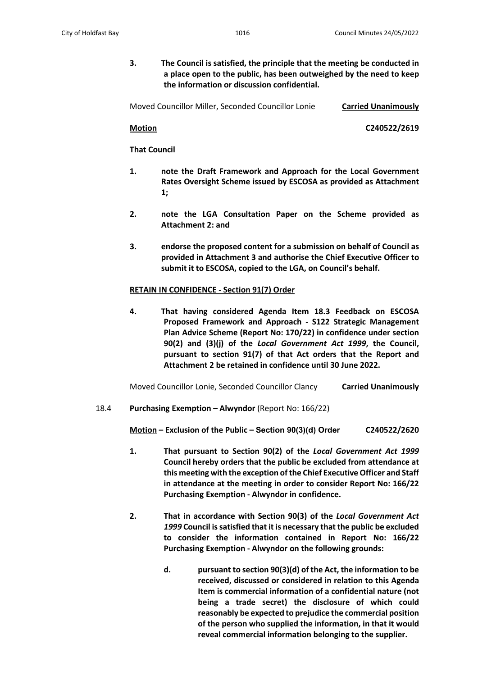**3. The Council is satisfied, the principle that the meeting be conducted in a place open to the public, has been outweighed by the need to keep the information or discussion confidential.**

Moved Councillor Miller, Seconded Councillor Lonie **Carried Unanimously**

 **Motion C240522/2619**

 **That Council**

- **1. note the Draft Framework and Approach for the Local Government Rates Oversight Scheme issued by ESCOSA as provided as Attachment 1;**
- **2. note the LGA Consultation Paper on the Scheme provided as Attachment 2: and**
- **3. endorse the proposed content for a submission on behalf of Council as provided in Attachment 3 and authorise the Chief Executive Officer to submit it to ESCOSA, copied to the LGA, on Council's behalf.**

## **RETAIN IN CONFIDENCE - Section 91(7) Order**

**4. That having considered Agenda Item 18.3 Feedback on ESCOSA Proposed Framework and Approach - S122 Strategic Management Plan Advice Scheme (Report No: 170/22) in confidence under section 90(2) and (3)(j) of the** *Local Government Act 1999***, the Council, pursuant to section 91(7) of that Act orders that the Report and Attachment 2 be retained in confidence until 30 June 2022.**

Moved Councillor Lonie, Seconded Councillor Clancy **Carried Unanimously**

# 18.4 **Purchasing Exemption – Alwyndor** (Report No: 166/22)

**Motion – Exclusion of the Public – Section 90(3)(d) Order C240522/2620**

- **1. That pursuant to Section 90(2) of the** *Local Government Act 1999* **Council hereby orders that the public be excluded from attendance at this meeting with the exception of the Chief ExecutiveOfficer and Staff in attendance at the meeting in order to consider Report No: 166/22 Purchasing Exemption - Alwyndor in confidence.**
- **2. That in accordance with Section 90(3) of the** *Local Government Act 1999* **Council is satisfied that it is necessary that the public be excluded to consider the information contained in Report No: 166/22 Purchasing Exemption - Alwyndor on the following grounds:**
	- **d. pursuant to section 90(3)(d) of the Act, the information to be received, discussed or considered in relation to this Agenda Item is commercial information of a confidential nature (not being a trade secret) the disclosure of which could reasonably be expected to prejudice the commercial position of the person who supplied the information, in that it would reveal commercial information belonging to the supplier.**